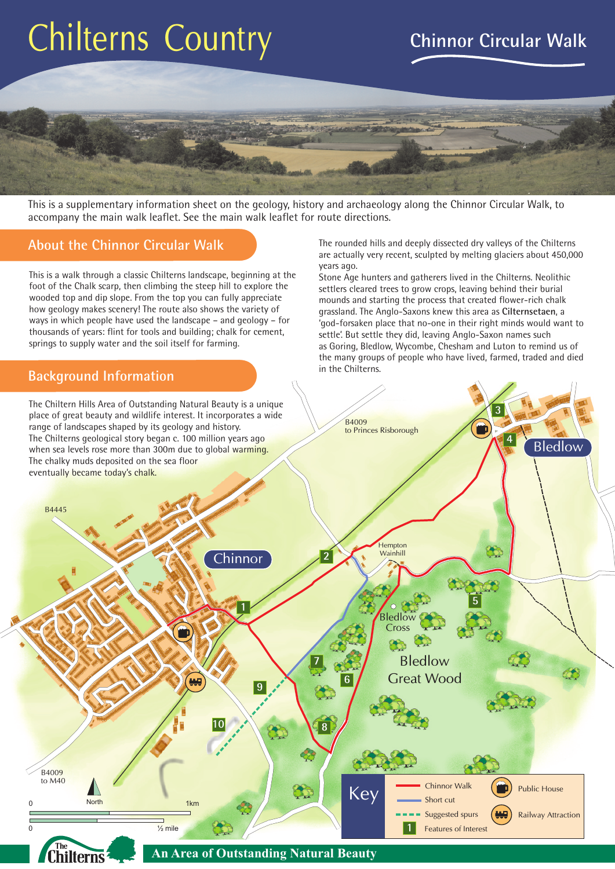# Chilterns Country

# **Chinnor Circular Walk**



This is a supplementary information sheet on the geology, history and archaeology along the Chinnor Circular Walk, to accompany the main walk leaflet. See the main walk leaflet for route directions.

### **About the Chinnor Circular Walk**

This is a walk through a classic Chilterns landscape, beginning at the foot of the Chalk scarp, then climbing the steep hill to explore the wooded top and dip slope. From the top you can fully appreciate how geology makes scenery! The route also shows the variety of ways in which people have used the landscape – and geology – for thousands of years: flint for tools and building; chalk for cement, springs to supply water and the soil itself for farming.

#### **Background Information**

The rounded hills and deeply dissected dry valleys of the Chilterns are actually very recent, sculpted by melting glaciers about 450,000 years ago.

Stone Age hunters and gatherers lived in the Chilterns. Neolithic settlers cleared trees to grow crops, leaving behind their burial mounds and starting the process that created flower-rich chalk grassland. The Anglo-Saxons knew this area as **Cilternsetaen**, a 'god-forsaken place that no-one in their right minds would want to settle'. But settle they did, leaving Anglo-Saxon names such as Goring, Bledlow, Wycombe, Chesham and Luton to remind us of the many groups of people who have lived, farmed, traded and died in the Chilterns.